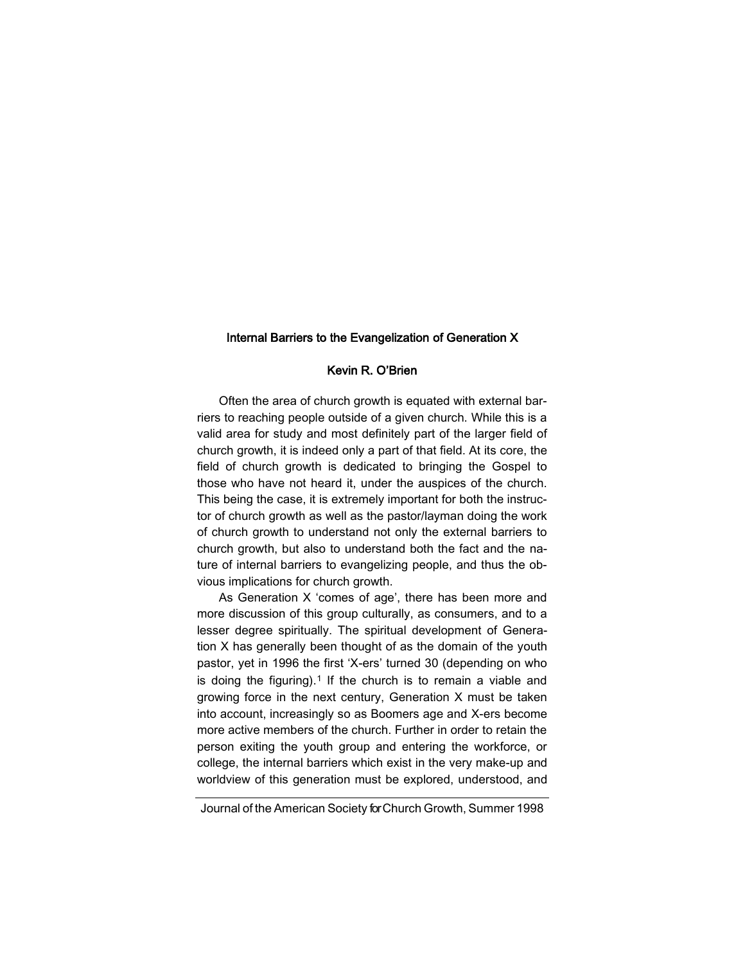#### Internal Barriers to the Evangelization of Generation X

# Kevin R. O'Brien

Often the area of church growth is equated with external barriers to reaching people outside of a given church. While this is a valid area for study and most definitely part of the larger field of church growth, it is indeed only a part of that field. At its core, the field of church growth is dedicated to bringing the Gospel to those who have not heard it, under the auspices of the church. This being the case, it is extremely important for both the instructor of church growth as well as the pastor/layman doing the work of church growth to understand not only the external barriers to church growth, but also to understand both the fact and the nature of internal barriers to evangelizing people, and thus the obvious implications for church growth.

As Generation X 'comes of age', there has been more and more discussion of this group culturally, as consumers, and to a lesser degree spiritually. The spiritual development of Generation X has generally been thought of as the domain of the youth pastor, yet in 1996 the first 'X-ers' turned 30 (depending on who is doing the figuring).<sup>1</sup> If the church is to remain a viable and growing force in the next century, Generation X must be taken into account, increasingly so as Boomers age and X-ers become more active members of the church. Further in order to retain the person exiting the youth group and entering the workforce, or college, the internal barriers which exist in the very make-up and worldview of this generation must be explored, understood, and

Journal of the American Society for Church Growth, Summer 1998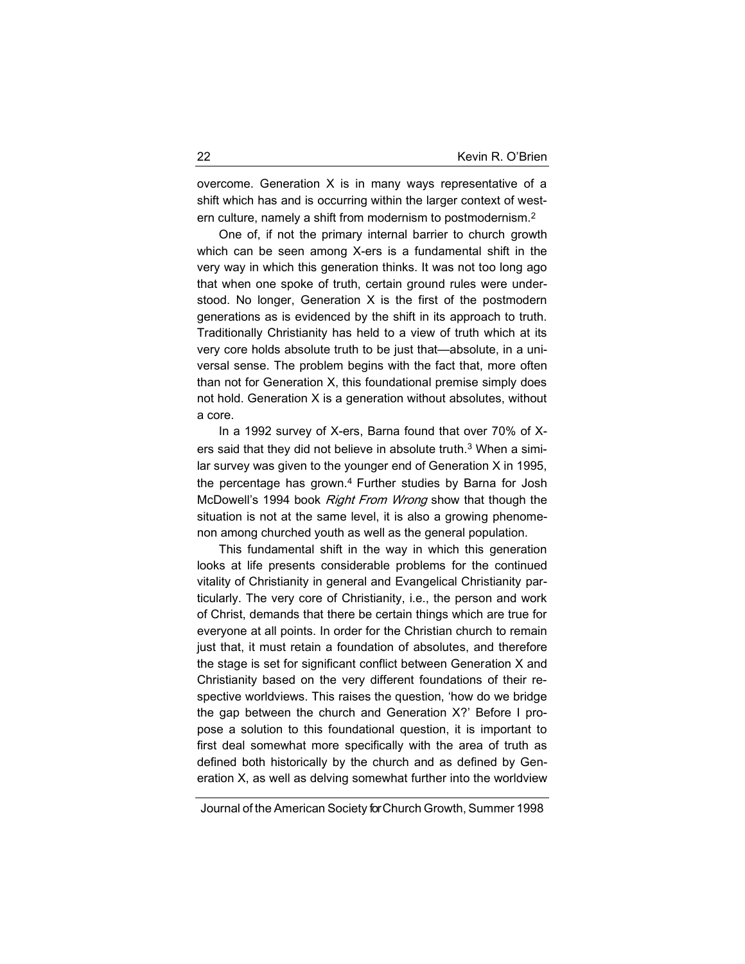overcome. Generation X is in many ways representative of a shift which has and is occurring within the larger context of western culture, namely a shift from modernism to postmodernism.<sup>2</sup>

One of, if not the primary internal barrier to church growth which can be seen among X-ers is a fundamental shift in the very way in which this generation thinks. It was not too long ago that when one spoke of truth, certain ground rules were understood. No longer, Generation X is the first of the postmodern generations as is evidenced by the shift in its approach to truth. Traditionally Christianity has held to a view of truth which at its very core holds absolute truth to be just that—absolute, in a universal sense. The problem begins with the fact that, more often than not for Generation X, this foundational premise simply does not hold. Generation X is a generation without absolutes, without a core.

In a 1992 survey of X-ers, Barna found that over 70% of Xers said that they did not believe in absolute truth.<sup>3</sup> When a similar survey was given to the younger end of Generation X in 1995, the percentage has grown.<sup>4</sup> Further studies by Barna for Josh McDowell's 1994 book *Right From Wrong* show that though the situation is not at the same level, it is also a growing phenomenon among churched youth as well as the general population.

This fundamental shift in the way in which this generation looks at life presents considerable problems for the continued vitality of Christianity in general and Evangelical Christianity particularly. The very core of Christianity, i.e., the person and work of Christ, demands that there be certain things which are true for everyone at all points. In order for the Christian church to remain just that, it must retain a foundation of absolutes, and therefore the stage is set for significant conflict between Generation X and Christianity based on the very different foundations of their respective worldviews. This raises the question, 'how do we bridge the gap between the church and Generation X?' Before I propose a solution to this foundational question, it is important to first deal somewhat more specifically with the area of truth as defined both historically by the church and as defined by Generation X, as well as delving somewhat further into the worldview

Journal of the American Society for Church Growth, Summer 1998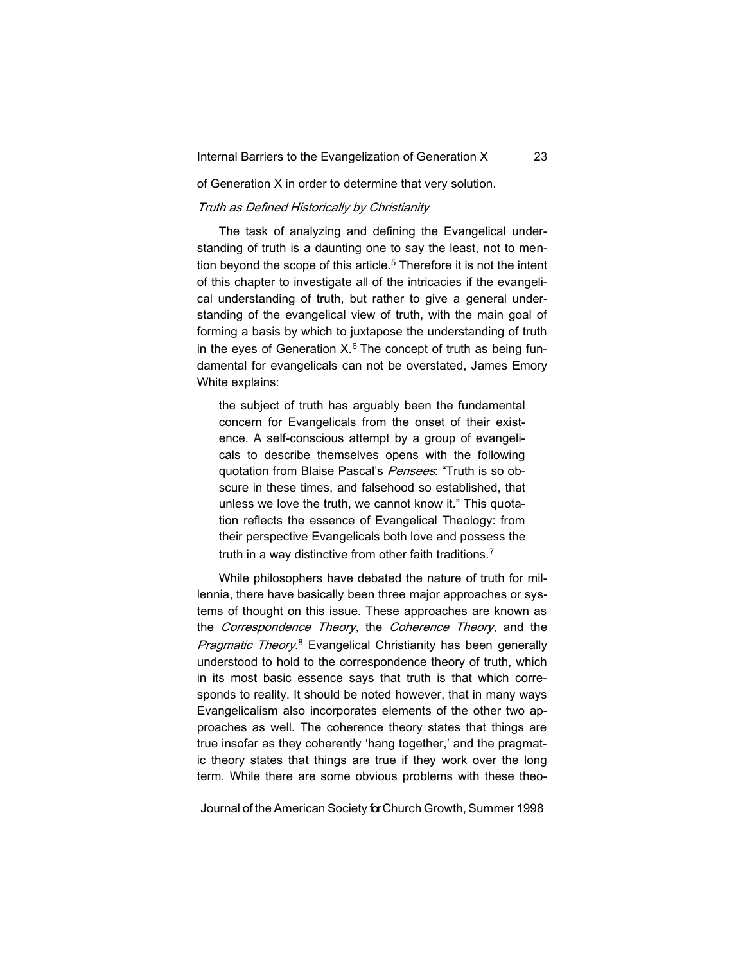of Generation X in order to determine that very solution.

## Truth as Defined Historically by Christianity

The task of analyzing and defining the Evangelical understanding of truth is a daunting one to say the least, not to mention beyond the scope of this article.<sup>5</sup> Therefore it is not the intent of this chapter to investigate all of the intricacies if the evangelical understanding of truth, but rather to give a general understanding of the evangelical view of truth, with the main goal of forming a basis by which to juxtapose the understanding of truth in the eyes of Generation  $X<sup>6</sup>$ . The concept of truth as being fundamental for evangelicals can not be overstated, James Emory White explains:

the subject of truth has arguably been the fundamental concern for Evangelicals from the onset of their existence. A self-conscious attempt by a group of evangelicals to describe themselves opens with the following quotation from Blaise Pascal's Pensees: "Truth is so obscure in these times, and falsehood so established, that unless we love the truth, we cannot know it." This quotation reflects the essence of Evangelical Theology: from their perspective Evangelicals both love and possess the truth in a way distinctive from other faith traditions.<sup>7</sup>

While philosophers have debated the nature of truth for millennia, there have basically been three major approaches or systems of thought on this issue. These approaches are known as the Correspondence Theory, the Coherence Theory, and the Pragmatic Theory.<sup>8</sup> Evangelical Christianity has been generally understood to hold to the correspondence theory of truth, which in its most basic essence says that truth is that which corresponds to reality. It should be noted however, that in many ways Evangelicalism also incorporates elements of the other two approaches as well. The coherence theory states that things are true insofar as they coherently 'hang together,' and the pragmatic theory states that things are true if they work over the long term. While there are some obvious problems with these theo-

Journal of the American Society for Church Growth, Summer 1998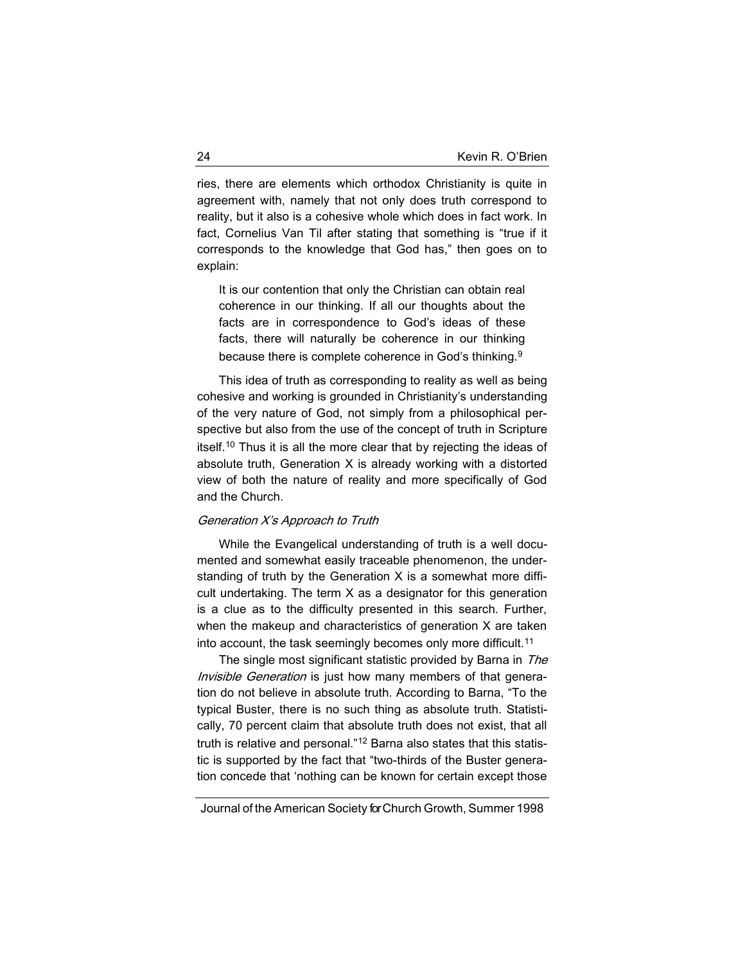ries, there are elements which orthodox Christianity is quite in agreement with, namely that not only does truth correspond to reality, but it also is a cohesive whole which does in fact work. In fact, Cornelius Van Til after stating that something is "true if it corresponds to the knowledge that God has," then goes on to explain:

It is our contention that only the Christian can obtain real coherence in our thinking. If all our thoughts about the facts are in correspondence to God's ideas of these facts, there will naturally be coherence in our thinking because there is complete coherence in God's thinking.<sup>9</sup>

This idea of truth as corresponding to reality as well as being cohesive and working is grounded in Christianity's understanding of the very nature of God, not simply from a philosophical perspective but also from the use of the concept of truth in Scripture itself.<sup>10</sup> Thus it is all the more clear that by rejecting the ideas of absolute truth, Generation X is already working with a distorted view of both the nature of reality and more specifically of God and the Church.

## Generation X's Approach to Truth

While the Evangelical understanding of truth is a well documented and somewhat easily traceable phenomenon, the understanding of truth by the Generation X is a somewhat more difficult undertaking. The term X as a designator for this generation is a clue as to the difficulty presented in this search. Further, when the makeup and characteristics of generation X are taken into account, the task seemingly becomes only more difficult.<sup>11</sup>

The single most significant statistic provided by Barna in The Invisible Generation is just how many members of that generation do not believe in absolute truth. According to Barna, "To the typical Buster, there is no such thing as absolute truth. Statistically, 70 percent claim that absolute truth does not exist, that all truth is relative and personal."<sup>12</sup> Barna also states that this statistic is supported by the fact that "two-thirds of the Buster generation concede that 'nothing can be known for certain except those

Journal of the American Society for Church Growth, Summer 1998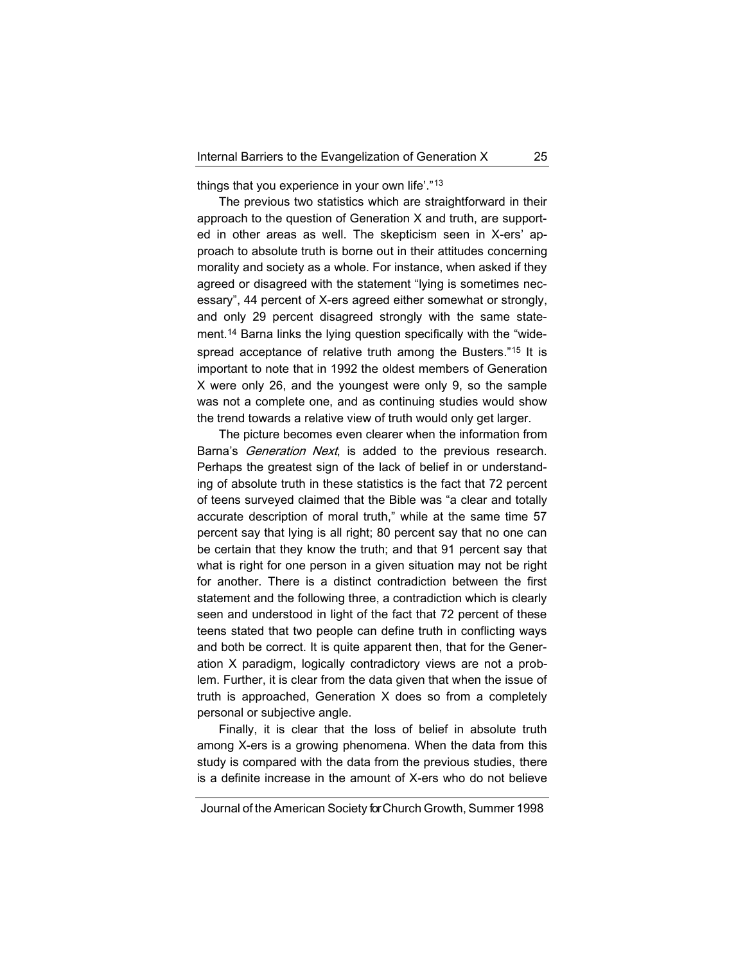things that you experience in your own life'."<sup>13</sup>

The previous two statistics which are straightforward in their approach to the question of Generation X and truth, are supported in other areas as well. The skepticism seen in X-ers' approach to absolute truth is borne out in their attitudes concerning morality and society as a whole. For instance, when asked if they agreed or disagreed with the statement "lying is sometimes necessary", 44 percent of X-ers agreed either somewhat or strongly, and only 29 percent disagreed strongly with the same statement.<sup>14</sup> Barna links the lying question specifically with the "widespread acceptance of relative truth among the Busters."<sup>15</sup> It is important to note that in 1992 the oldest members of Generation X were only 26, and the youngest were only 9, so the sample was not a complete one, and as continuing studies would show the trend towards a relative view of truth would only get larger.

The picture becomes even clearer when the information from Barna's *Generation Next*, is added to the previous research. Perhaps the greatest sign of the lack of belief in or understanding of absolute truth in these statistics is the fact that 72 percent of teens surveyed claimed that the Bible was "a clear and totally accurate description of moral truth," while at the same time 57 percent say that lying is all right; 80 percent say that no one can be certain that they know the truth; and that 91 percent say that what is right for one person in a given situation may not be right for another. There is a distinct contradiction between the first statement and the following three, a contradiction which is clearly seen and understood in light of the fact that 72 percent of these teens stated that two people can define truth in conflicting ways and both be correct. It is quite apparent then, that for the Generation X paradigm, logically contradictory views are not a problem. Further, it is clear from the data given that when the issue of truth is approached, Generation X does so from a completely personal or subjective angle.

Finally, it is clear that the loss of belief in absolute truth among X-ers is a growing phenomena. When the data from this study is compared with the data from the previous studies, there is a definite increase in the amount of X-ers who do not believe

Journal of the American Society for Church Growth, Summer 1998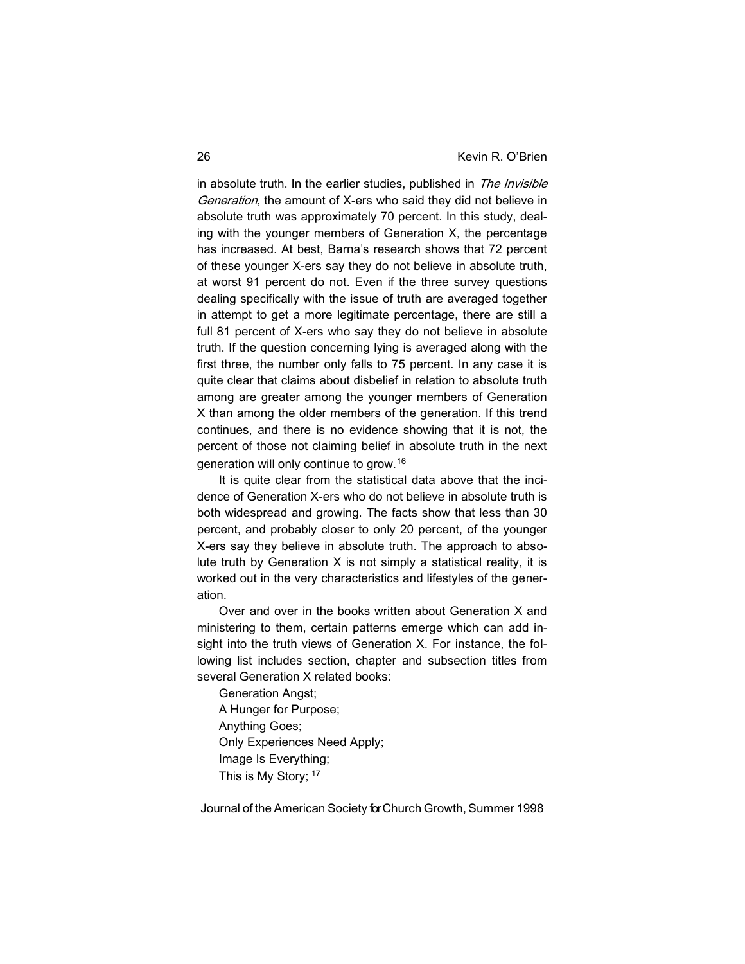in absolute truth. In the earlier studies, published in The Invisible Generation, the amount of X-ers who said they did not believe in absolute truth was approximately 70 percent. In this study, dealing with the younger members of Generation X, the percentage has increased. At best, Barna's research shows that 72 percent of these younger X-ers say they do not believe in absolute truth, at worst 91 percent do not. Even if the three survey questions dealing specifically with the issue of truth are averaged together in attempt to get a more legitimate percentage, there are still a full 81 percent of X-ers who say they do not believe in absolute truth. If the question concerning lying is averaged along with the first three, the number only falls to 75 percent. In any case it is quite clear that claims about disbelief in relation to absolute truth among are greater among the younger members of Generation X than among the older members of the generation. If this trend continues, and there is no evidence showing that it is not, the percent of those not claiming belief in absolute truth in the next generation will only continue to grow.<sup>16</sup>

It is quite clear from the statistical data above that the incidence of Generation X-ers who do not believe in absolute truth is both widespread and growing. The facts show that less than 30 percent, and probably closer to only 20 percent, of the younger X-ers say they believe in absolute truth. The approach to absolute truth by Generation X is not simply a statistical reality, it is worked out in the very characteristics and lifestyles of the generation.

Over and over in the books written about Generation X and ministering to them, certain patterns emerge which can add insight into the truth views of Generation X. For instance, the following list includes section, chapter and subsection titles from several Generation X related books:

Generation Angst; A Hunger for Purpose; Anything Goes; Only Experiences Need Apply; Image Is Everything; This is My Story; 17

Journal of the American Society for Church Growth, Summer 1998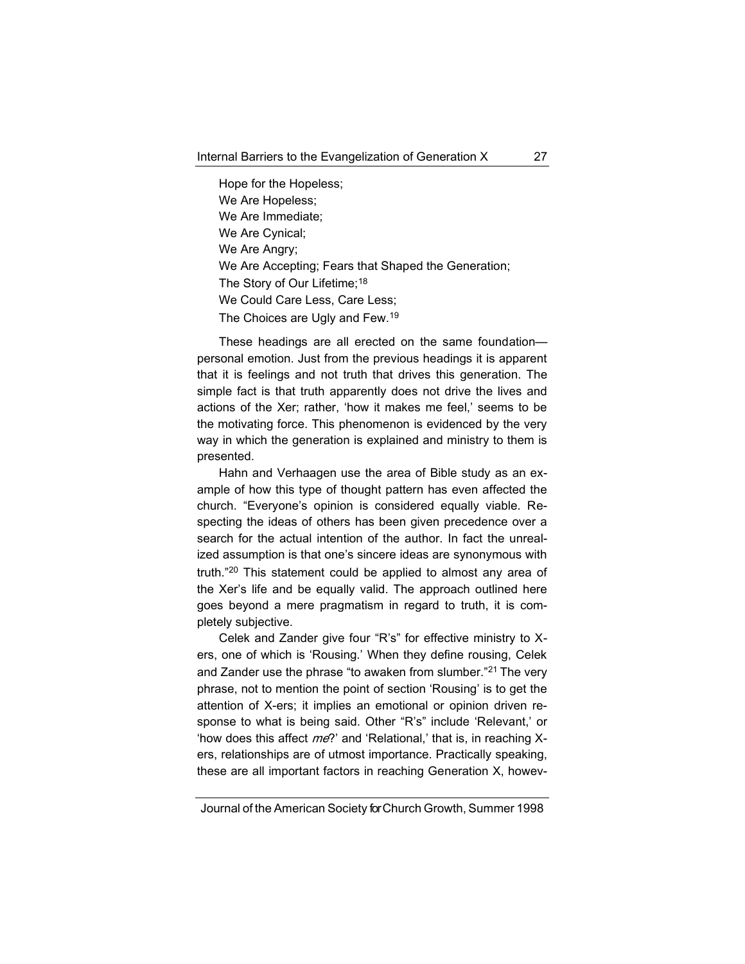Hope for the Hopeless; We Are Hopeless; We Are Immediate; We Are Cynical; We Are Angry; We Are Accepting; Fears that Shaped the Generation; The Story of Our Lifetime;<sup>18</sup> We Could Care Less, Care Less; The Choices are Ugly and Few.<sup>19</sup>

These headings are all erected on the same foundation personal emotion. Just from the previous headings it is apparent that it is feelings and not truth that drives this generation. The simple fact is that truth apparently does not drive the lives and actions of the Xer; rather, 'how it makes me feel,' seems to be the motivating force. This phenomenon is evidenced by the very way in which the generation is explained and ministry to them is presented.

Hahn and Verhaagen use the area of Bible study as an example of how this type of thought pattern has even affected the church. "Everyone's opinion is considered equally viable. Respecting the ideas of others has been given precedence over a search for the actual intention of the author. In fact the unrealized assumption is that one's sincere ideas are synonymous with truth."<sup>20</sup> This statement could be applied to almost any area of the Xer's life and be equally valid. The approach outlined here goes beyond a mere pragmatism in regard to truth, it is completely subjective.

Celek and Zander give four "R's" for effective ministry to Xers, one of which is 'Rousing.' When they define rousing, Celek and Zander use the phrase "to awaken from slumber."<sup>21</sup> The very phrase, not to mention the point of section 'Rousing' is to get the attention of X-ers; it implies an emotional or opinion driven response to what is being said. Other "R's" include 'Relevant,' or 'how does this affect  $me$ ?' and 'Relational,' that is, in reaching Xers, relationships are of utmost importance. Practically speaking, these are all important factors in reaching Generation X, howev-

Journal of the American Society for Church Growth, Summer 1998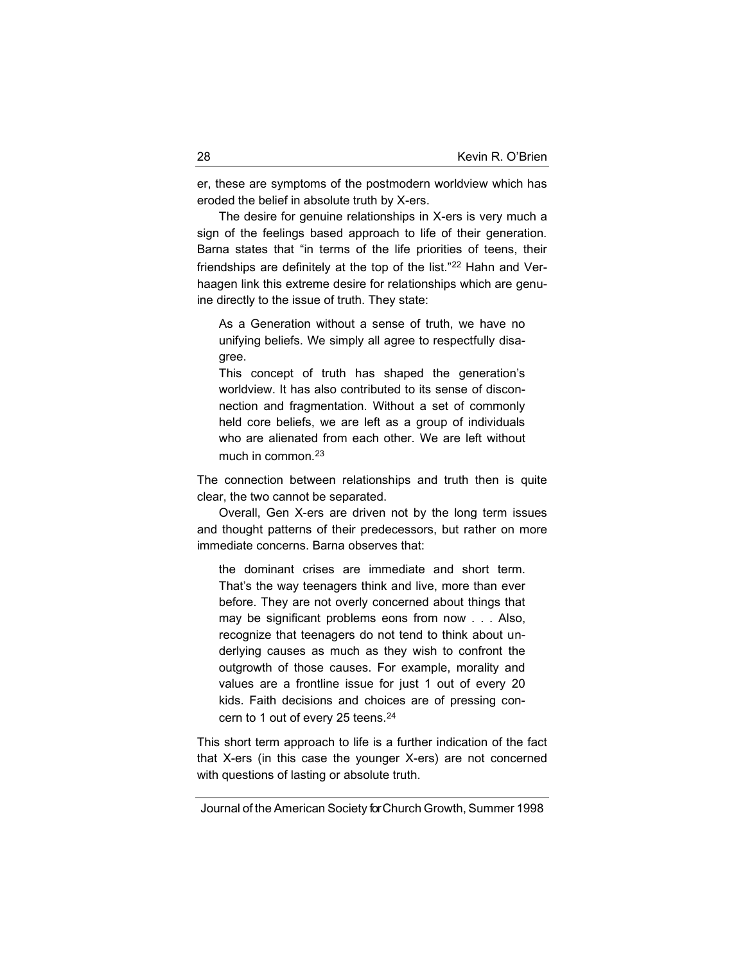er, these are symptoms of the postmodern worldview which has eroded the belief in absolute truth by X-ers.

The desire for genuine relationships in X-ers is very much a sign of the feelings based approach to life of their generation. Barna states that "in terms of the life priorities of teens, their friendships are definitely at the top of the list."<sup>22</sup> Hahn and Verhaagen link this extreme desire for relationships which are genuine directly to the issue of truth. They state:

As a Generation without a sense of truth, we have no unifying beliefs. We simply all agree to respectfully disagree.

This concept of truth has shaped the generation's worldview. It has also contributed to its sense of disconnection and fragmentation. Without a set of commonly held core beliefs, we are left as a group of individuals who are alienated from each other. We are left without much in common.<sup>23</sup>

The connection between relationships and truth then is quite clear, the two cannot be separated.

Overall, Gen X-ers are driven not by the long term issues and thought patterns of their predecessors, but rather on more immediate concerns. Barna observes that:

the dominant crises are immediate and short term. That's the way teenagers think and live, more than ever before. They are not overly concerned about things that may be significant problems eons from now . . . Also, recognize that teenagers do not tend to think about underlying causes as much as they wish to confront the outgrowth of those causes. For example, morality and values are a frontline issue for just 1 out of every 20 kids. Faith decisions and choices are of pressing concern to 1 out of every 25 teens.<sup>24</sup>

This short term approach to life is a further indication of the fact that X-ers (in this case the younger X-ers) are not concerned with questions of lasting or absolute truth.

Journal of the American Society for Church Growth, Summer 1998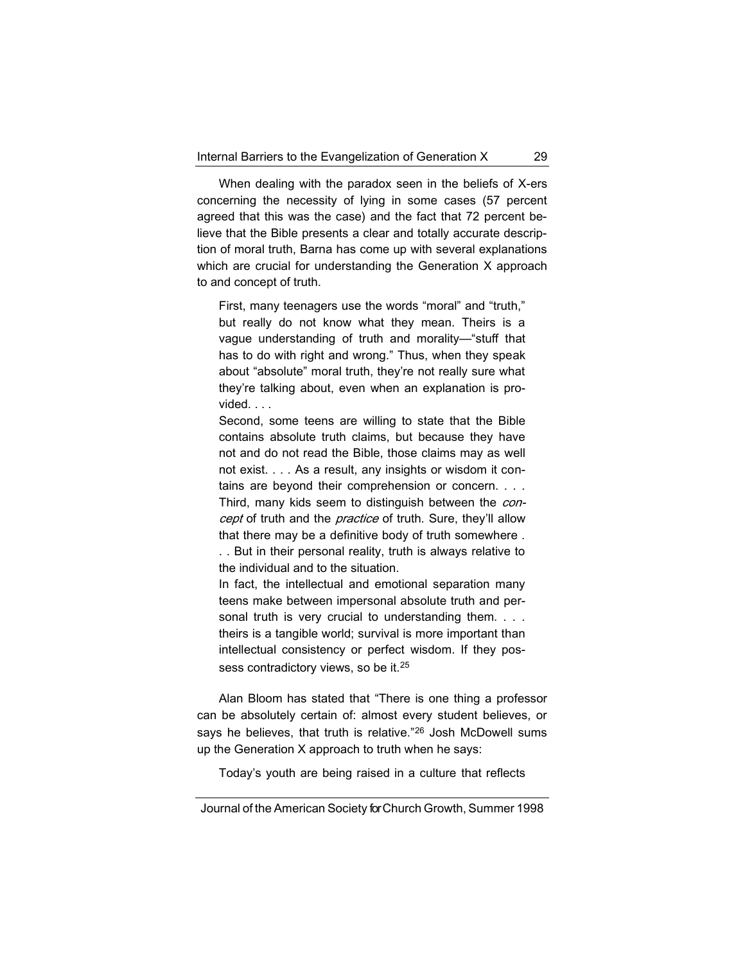When dealing with the paradox seen in the beliefs of X-ers concerning the necessity of lying in some cases (57 percent agreed that this was the case) and the fact that 72 percent believe that the Bible presents a clear and totally accurate description of moral truth, Barna has come up with several explanations which are crucial for understanding the Generation X approach to and concept of truth.

First, many teenagers use the words "moral" and "truth," but really do not know what they mean. Theirs is a vague understanding of truth and morality—"stuff that has to do with right and wrong." Thus, when they speak about "absolute" moral truth, they're not really sure what they're talking about, even when an explanation is provided. . . .

Second, some teens are willing to state that the Bible contains absolute truth claims, but because they have not and do not read the Bible, those claims may as well not exist. . . . As a result, any insights or wisdom it contains are beyond their comprehension or concern. . . . Third, many kids seem to distinguish between the concept of truth and the practice of truth. Sure, they'll allow that there may be a definitive body of truth somewhere . . . But in their personal reality, truth is always relative to

the individual and to the situation.

In fact, the intellectual and emotional separation many teens make between impersonal absolute truth and personal truth is very crucial to understanding them. . . . theirs is a tangible world; survival is more important than intellectual consistency or perfect wisdom. If they possess contradictory views, so be it.<sup>25</sup>

Alan Bloom has stated that "There is one thing a professor can be absolutely certain of: almost every student believes, or says he believes, that truth is relative."<sup>26</sup> Josh McDowell sums up the Generation X approach to truth when he says:

Today's youth are being raised in a culture that reflects

Journal of the American Society for Church Growth, Summer 1998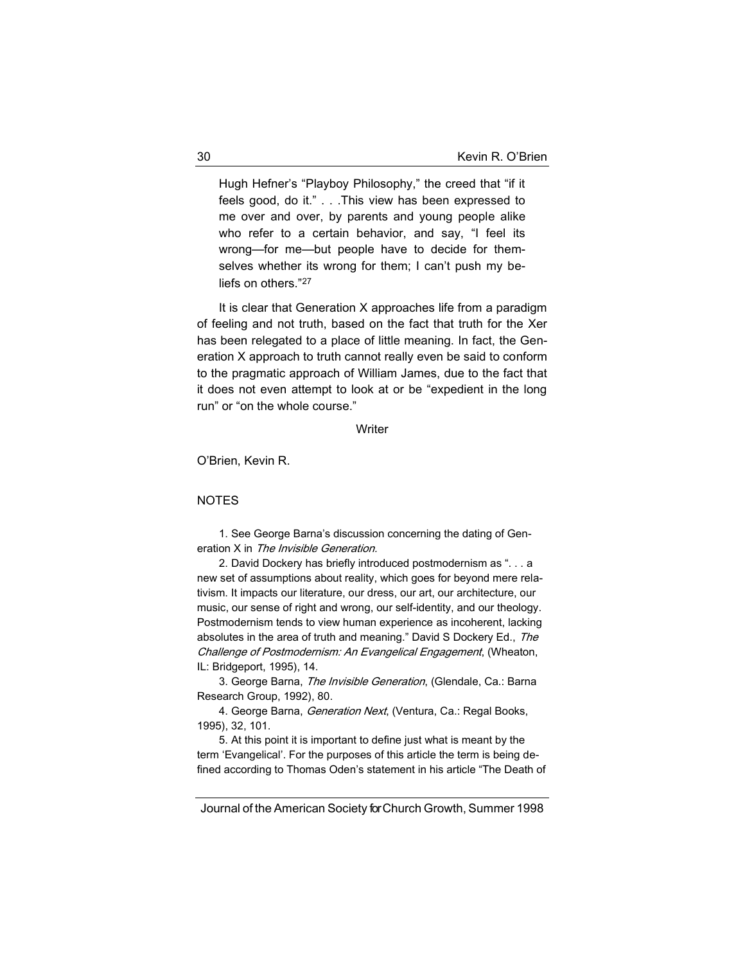Hugh Hefner's "Playboy Philosophy," the creed that "if it feels good, do it." . . .This view has been expressed to me over and over, by parents and young people alike who refer to a certain behavior, and say, "I feel its wrong—for me—but people have to decide for themselves whether its wrong for them; I can't push my beliefs on others."<sup>27</sup>

It is clear that Generation X approaches life from a paradigm of feeling and not truth, based on the fact that truth for the Xer has been relegated to a place of little meaning. In fact, the Generation X approach to truth cannot really even be said to conform to the pragmatic approach of William James, due to the fact that it does not even attempt to look at or be "expedient in the long run" or "on the whole course."

#### **Writer**

O'Brien, Kevin R.

#### NOTES

1. See George Barna's discussion concerning the dating of Generation X in The Invisible Generation.

2. David Dockery has briefly introduced postmodernism as ". . . a new set of assumptions about reality, which goes for beyond mere relativism. It impacts our literature, our dress, our art, our architecture, our music, our sense of right and wrong, our self-identity, and our theology. Postmodernism tends to view human experience as incoherent, lacking absolutes in the area of truth and meaning." David S Dockery Ed., The Challenge of Postmodernism: An Evangelical Engagement, (Wheaton, IL: Bridgeport, 1995), 14.

3. George Barna, The Invisible Generation, (Glendale, Ca.: Barna Research Group, 1992), 80.

4. George Barna, Generation Next, (Ventura, Ca.: Regal Books, 1995), 32, 101.

5. At this point it is important to define just what is meant by the term 'Evangelical'. For the purposes of this article the term is being defined according to Thomas Oden's statement in his article "The Death of

Journal of the American Society for Church Growth, Summer 1998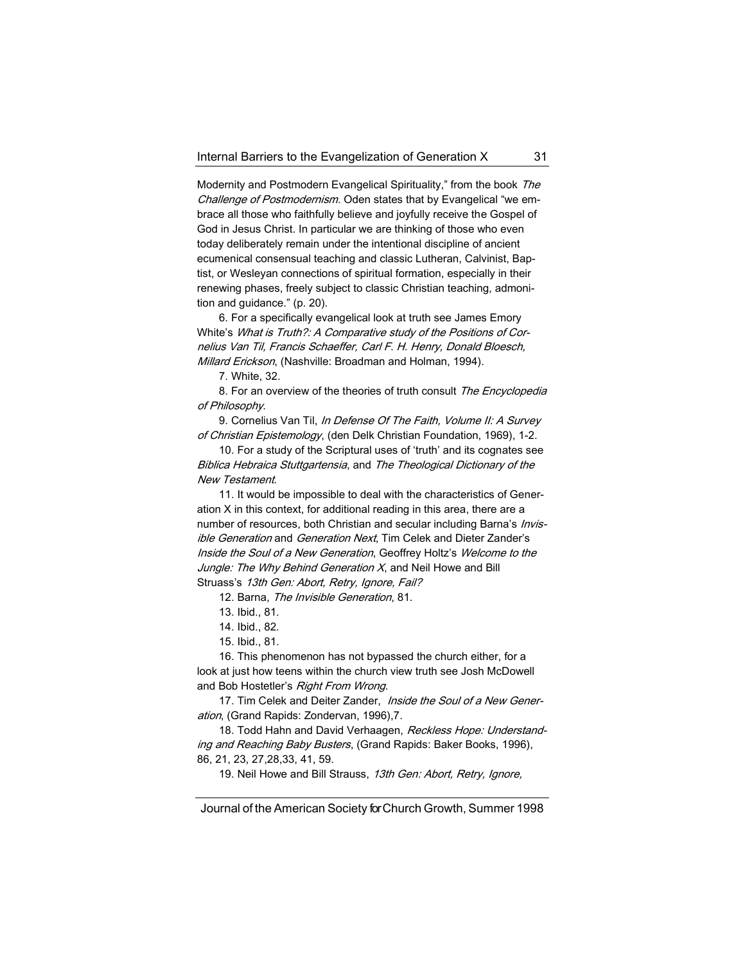Modernity and Postmodern Evangelical Spirituality," from the book The Challenge of Postmodernism. Oden states that by Evangelical "we embrace all those who faithfully believe and joyfully receive the Gospel of God in Jesus Christ. In particular we are thinking of those who even today deliberately remain under the intentional discipline of ancient ecumenical consensual teaching and classic Lutheran, Calvinist, Baptist, or Wesleyan connections of spiritual formation, especially in their renewing phases, freely subject to classic Christian teaching, admonition and guidance." (p. 20).

6. For a specifically evangelical look at truth see James Emory White's What is Truth?: A Comparative study of the Positions of Cornelius Van Til, Francis Schaeffer, Carl F. H. Henry, Donald Bloesch, Millard Erickson, (Nashville: Broadman and Holman, 1994).

7. White, 32.

8. For an overview of the theories of truth consult The Encyclopedia of Philosophy.

9. Cornelius Van Til, In Defense Of The Faith, Volume II: A Survey of Christian Epistemology, (den Delk Christian Foundation, 1969), 1-2.

10. For a study of the Scriptural uses of 'truth' and its cognates see Biblica Hebraica Stuttgartensia, and The Theological Dictionary of the New Testament.

11. It would be impossible to deal with the characteristics of Generation X in this context, for additional reading in this area, there are a number of resources, both Christian and secular including Barna's Invisible Generation and Generation Next, Tim Celek and Dieter Zander's Inside the Soul of a New Generation, Geoffrey Holtz's Welcome to the Jungle: The Why Behind Generation  $X$ , and Neil Howe and Bill Struass's 13th Gen: Abort, Retry, Ignore, Fail?

12. Barna, The Invisible Generation, 81.

15. Ibid., 81.

16. This phenomenon has not bypassed the church either, for a look at just how teens within the church view truth see Josh McDowell and Bob Hostetler's Right From Wrong.

17. Tim Celek and Deiter Zander, Inside the Soul of a New Generation, (Grand Rapids: Zondervan, 1996),7.

18. Todd Hahn and David Verhaagen, Reckless Hope: Understanding and Reaching Baby Busters, (Grand Rapids: Baker Books, 1996), 86, 21, 23, 27,28,33, 41, 59.

19. Neil Howe and Bill Strauss, 13th Gen: Abort, Retry, Ignore,

<sup>13.</sup> Ibid., 81.

<sup>14.</sup> Ibid., 82.

Journal of the American Society for Church Growth, Summer 1998